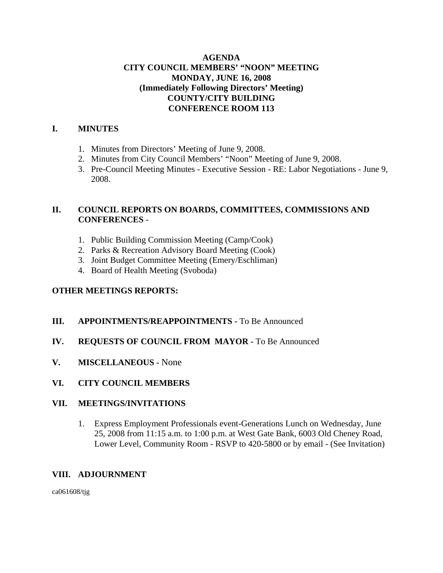# **AGENDA CITY COUNCIL MEMBERS' "NOON" MEETING MONDAY, JUNE 16, 2008 (Immediately Following Directors' Meeting) COUNTY/CITY BUILDING CONFERENCE ROOM 113**

# **I. MINUTES**

- 1. Minutes from Directors' Meeting of June 9, 2008.
- 2. Minutes from City Council Members' "Noon" Meeting of June 9, 2008.
- 3. Pre-Council Meeting Minutes Executive Session RE: Labor Negotiations June 9, 2008.

# **II. COUNCIL REPORTS ON BOARDS, COMMITTEES, COMMISSIONS AND CONFERENCES** -

- 1. Public Building Commission Meeting (Camp/Cook)
- 2. Parks & Recreation Advisory Board Meeting (Cook)
- 3. Joint Budget Committee Meeting (Emery/Eschliman)
- 4. Board of Health Meeting (Svoboda)

# **OTHER MEETINGS REPORTS:**

# **III.** APPOINTMENTS/REAPPOINTMENTS - To Be Announced

# **IV. REQUESTS OF COUNCIL FROM MAYOR -** To Be Announced

**V. MISCELLANEOUS -** None

# **VI. CITY COUNCIL MEMBERS**

#### **VII. MEETINGS/INVITATIONS**

1. Express Employment Professionals event-Generations Lunch on Wednesday, June 25, 2008 from 11:15 a.m. to 1:00 p.m. at West Gate Bank, 6003 Old Cheney Road, Lower Level, Community Room - RSVP to 420-5800 or by email - (See Invitation)

#### **VIII. ADJOURNMENT**

ca061608/tjg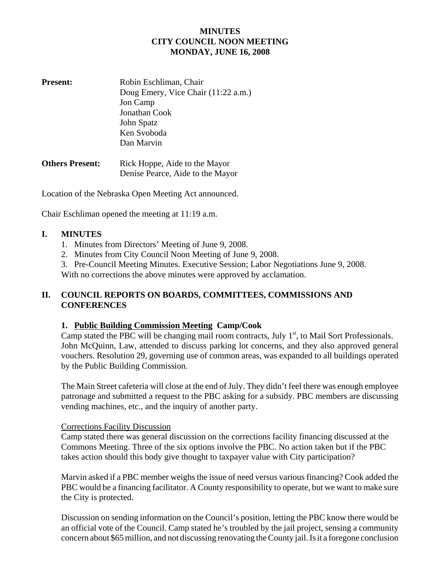# **MINUTES CITY COUNCIL NOON MEETING MONDAY, JUNE 16, 2008**

| <b>Present:</b>        | Robin Eschliman, Chair              |  |
|------------------------|-------------------------------------|--|
|                        | Doug Emery, Vice Chair (11:22 a.m.) |  |
|                        | Jon Camp                            |  |
|                        | Jonathan Cook                       |  |
|                        | John Spatz                          |  |
|                        | Ken Svoboda                         |  |
|                        | Dan Marvin                          |  |
| <b>Others Present:</b> | Rick Hoppe, Aide to the Mayor       |  |
|                        | Denise Pearce, Aide to the Mayor    |  |

Location of the Nebraska Open Meeting Act announced.

Chair Eschliman opened the meeting at 11:19 a.m.

#### **I. MINUTES**

- 1. Minutes from Directors' Meeting of June 9, 2008.
- 2. Minutes from City Council Noon Meeting of June 9, 2008.
- 3. Pre-Council Meeting Minutes. Executive Session; Labor Negotiations June 9, 2008.

With no corrections the above minutes were approved by acclamation.

## **II. COUNCIL REPORTS ON BOARDS, COMMITTEES, COMMISSIONS AND CONFERENCES**

#### **1. Public Building Commission Meeting Camp/Cook**

Camp stated the PBC will be changing mail room contracts, July  $1<sup>st</sup>$ , to Mail Sort Professionals. John McQuinn, Law, attended to discuss parking lot concerns, and they also approved general vouchers. Resolution 29, governing use of common areas, was expanded to all buildings operated by the Public Building Commission.

The Main Street cafeteria will close at the end of July. They didn't feel there was enough employee patronage and submitted a request to the PBC asking for a subsidy. PBC members are discussing vending machines, etc., and the inquiry of another party.

#### Corrections Facility Discussion

Camp stated there was general discussion on the corrections facility financing discussed at the Commons Meeting. Three of the six options involve the PBC. No action taken but if the PBC takes action should this body give thought to taxpayer value with City participation?

Marvin asked if a PBC member weighs the issue of need versus various financing? Cook added the PBC would be a financing facilitator. A County responsibility to operate, but we want to make sure the City is protected.

Discussion on sending information on the Council's position, letting the PBC know there would be an official vote of the Council. Camp stated he's troubled by the jail project, sensing a community concern about \$65 million, and not discussing renovating the County jail. Is it a foregone conclusion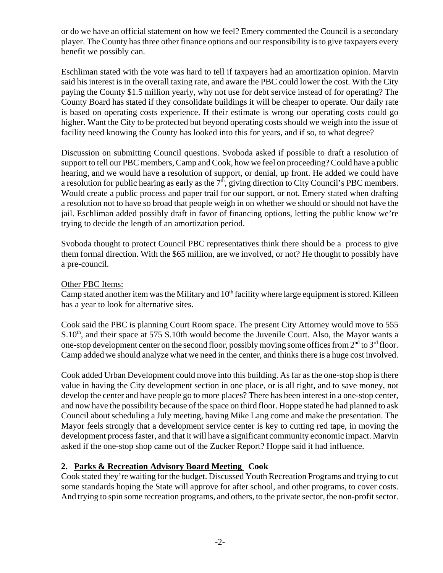or do we have an official statement on how we feel? Emery commented the Council is a secondary player. The County has three other finance options and our responsibility is to give taxpayers every benefit we possibly can.

Eschliman stated with the vote was hard to tell if taxpayers had an amortization opinion. Marvin said his interest is in the overall taxing rate, and aware the PBC could lower the cost. With the City paying the County \$1.5 million yearly, why not use for debt service instead of for operating? The County Board has stated if they consolidate buildings it will be cheaper to operate. Our daily rate is based on operating costs experience. If their estimate is wrong our operating costs could go higher. Want the City to be protected but beyond operating costs should we weigh into the issue of facility need knowing the County has looked into this for years, and if so, to what degree?

Discussion on submitting Council questions. Svoboda asked if possible to draft a resolution of support to tell our PBC members, Camp and Cook, how we feel on proceeding? Could have a public hearing, and we would have a resolution of support, or denial, up front. He added we could have a resolution for public hearing as early as the  $7<sup>th</sup>$ , giving direction to City Council's PBC members. Would create a public process and paper trail for our support, or not. Emery stated when drafting a resolution not to have so broad that people weigh in on whether we should or should not have the jail. Eschliman added possibly draft in favor of financing options, letting the public know we're trying to decide the length of an amortization period.

Svoboda thought to protect Council PBC representatives think there should be a process to give them formal direction. With the \$65 million, are we involved, or not? He thought to possibly have a pre-council.

#### Other PBC Items:

Camp stated another item was the Military and 10<sup>th</sup> facility where large equipment is stored. Killeen has a year to look for alternative sites.

Cook said the PBC is planning Court Room space. The present City Attorney would move to 555  $S.10<sup>th</sup>$ , and their space at 575 S.10th would become the Juvenile Court. Also, the Mayor wants a one-stop development center on the second floor, possibly moving some offices from  $2<sup>nd</sup>$  to  $3<sup>rd</sup>$  floor. Camp added we should analyze what we need in the center, and thinks there is a huge cost involved.

Cook added Urban Development could move into this building. As far as the one-stop shop is there value in having the City development section in one place, or is all right, and to save money, not develop the center and have people go to more places? There has been interest in a one-stop center, and now have the possibility because of the space on third floor. Hoppe stated he had planned to ask Council about scheduling a July meeting, having Mike Lang come and make the presentation. The Mayor feels strongly that a development service center is key to cutting red tape, in moving the development process faster, and that it will have a significant community economic impact. Marvin asked if the one-stop shop came out of the Zucker Report? Hoppe said it had influence.

# **2. Parks & Recreation Advisory Board Meeting Cook**

Cook stated they're waiting for the budget. Discussed Youth Recreation Programs and trying to cut some standards hoping the State will approve for after school, and other programs, to cover costs. And trying to spin some recreation programs, and others, to the private sector, the non-profit sector.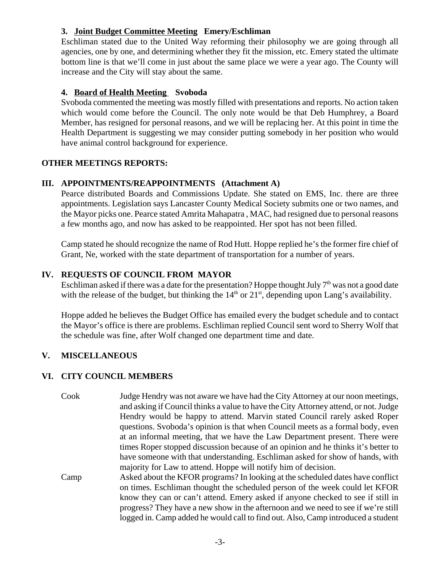# **3. Joint Budget Committee Meeting Emery/Eschliman**

Eschliman stated due to the United Way reforming their philosophy we are going through all agencies, one by one, and determining whether they fit the mission, etc. Emery stated the ultimate bottom line is that we'll come in just about the same place we were a year ago. The County will increase and the City will stay about the same.

#### **4. Board of Health Meeting Svoboda**

Svoboda commented the meeting was mostly filled with presentations and reports. No action taken which would come before the Council. The only note would be that Deb Humphrey, a Board Member, has resigned for personal reasons, and we will be replacing her. At this point in time the Health Department is suggesting we may consider putting somebody in her position who would have animal control background for experience.

## **OTHER MEETINGS REPORTS:**

## **III. APPOINTMENTS/REAPPOINTMENTS (Attachment A)**

Pearce distributed Boards and Commissions Update. She stated on EMS, Inc. there are three appointments. Legislation says Lancaster County Medical Society submits one or two names, and the Mayor picks one. Pearce stated Amrita Mahapatra , MAC, had resigned due to personal reasons a few months ago, and now has asked to be reappointed. Her spot has not been filled.

Camp stated he should recognize the name of Rod Hutt. Hoppe replied he's the former fire chief of Grant, Ne, worked with the state department of transportation for a number of years.

# **IV. REQUESTS OF COUNCIL FROM MAYOR**

Eschliman asked if there was a date for the presentation? Hoppe thought July  $7<sup>th</sup>$  was not a good date with the release of the budget, but thinking the  $14<sup>th</sup>$  or  $21<sup>st</sup>$ , depending upon Lang's availability.

Hoppe added he believes the Budget Office has emailed every the budget schedule and to contact the Mayor's office is there are problems. Eschliman replied Council sent word to Sherry Wolf that the schedule was fine, after Wolf changed one department time and date.

# **V. MISCELLANEOUS**

# **VI. CITY COUNCIL MEMBERS**

- Cook Judge Hendry was not aware we have had the City Attorney at our noon meetings, and asking if Council thinks a value to have the City Attorney attend, or not. Judge Hendry would be happy to attend. Marvin stated Council rarely asked Roper questions. Svoboda's opinion is that when Council meets as a formal body, even at an informal meeting, that we have the Law Department present. There were times Roper stopped discussion because of an opinion and he thinks it's better to have someone with that understanding. Eschliman asked for show of hands, with majority for Law to attend. Hoppe will notify him of decision.
- Camp Asked about the KFOR programs? In looking at the scheduled dates have conflict on times. Eschliman thought the scheduled person of the week could let KFOR know they can or can't attend. Emery asked if anyone checked to see if still in progress? They have a new show in the afternoon and we need to see if we're still logged in. Camp added he would call to find out. Also, Camp introduced a student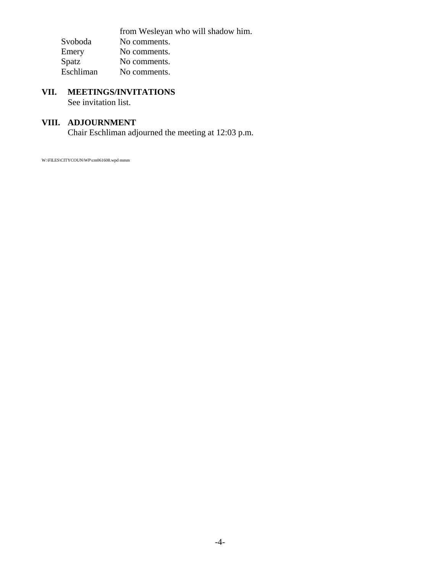from Wesleyan who will shadow him. Svoboda No comments.<br>Emery No comments. Emery No comments.<br>Spatz No comments. Spatz No comments.<br>Eschliman No comments. No comments.

# **VII. MEETINGS/INVITATIONS**

See invitation list.

# **VIII. ADJOURNMENT**

Chair Eschliman adjourned the meeting at 12:03 p.m.

W:\FILES\CITYCOUN\WP\cm061608.wpd mmm